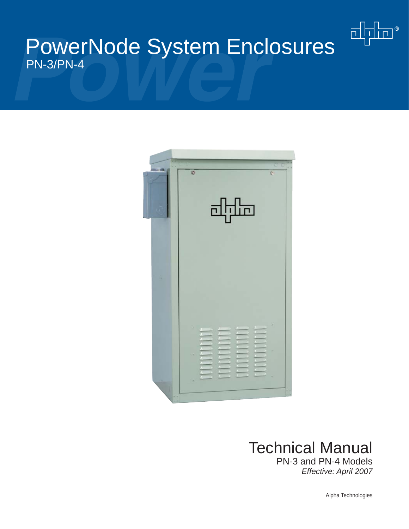# PowerNode System Enclosures PN-3/PN-4





# Technical Manual

PN-3 and PN-4 Models *Effective: April 2007*

Alpha Technologies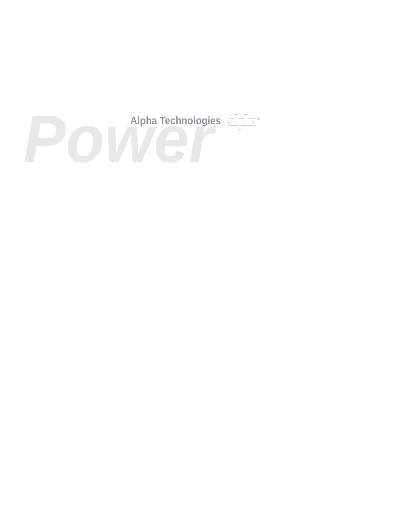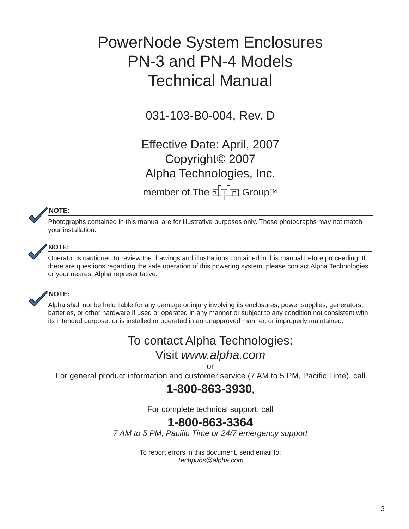# PowerNode System Enclosures PN-3 and PN-4 Models Technical Manual

031-103-B0-004, Rev. D

Effective Date: April, 2007 Copyright© 2007 Alpha Technologies, Inc.

member of The <sub>E</sub>ndem Group™

#### **NOTE:**

Photographs contained in this manual are for illustrative purposes only. These photographs may not match your installation.



#### **NOTE:**

Operator is cautioned to review the drawings and illustrations contained in this manual before proceeding. If there are questions regarding the safe operation of this powering system, please contact Alpha Technologies or your nearest Alpha representative.



#### **NOTE:**

Alpha shall not be held liable for any damage or injury involving its enclosures, power supplies, generators, batteries, or other hardware if used or operated in any manner or subject to any condition not consistent with its intended purpose, or is installed or operated in an unapproved manner, or improperly maintained.

## To contact Alpha Technologies:

## Visit *www.alpha.com*

or

For general product information and customer service (7 AM to 5 PM, Pacific Time), call

## **1-800-863-3930,**

For complete technical support, call

## **1-800-863-3364**

*7 AM to 5 PM, Pacifi c Time or 24/7 emergency support*

To report errors in this document, send email to: *Techpubs@alpha.com*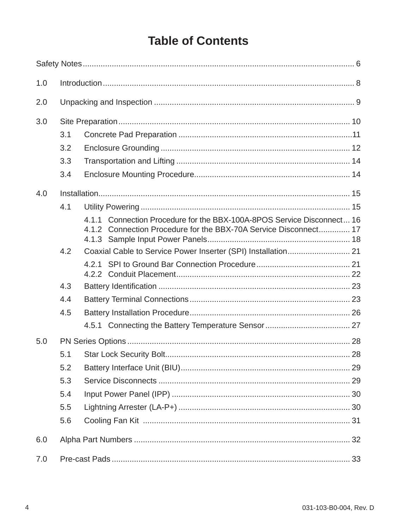## **Table of Contents**

| 1.0 |     |                                                                                                                                            |  |  |
|-----|-----|--------------------------------------------------------------------------------------------------------------------------------------------|--|--|
| 2.0 |     |                                                                                                                                            |  |  |
| 3.0 |     |                                                                                                                                            |  |  |
|     | 3.1 |                                                                                                                                            |  |  |
|     | 3.2 |                                                                                                                                            |  |  |
|     | 3.3 |                                                                                                                                            |  |  |
|     | 3.4 |                                                                                                                                            |  |  |
| 4.0 |     |                                                                                                                                            |  |  |
|     | 4.1 |                                                                                                                                            |  |  |
|     |     | 4.1.1 Connection Procedure for the BBX-100A-8POS Service Disconnect 16<br>4.1.2 Connection Procedure for the BBX-70A Service Disconnect 17 |  |  |
|     | 4.2 |                                                                                                                                            |  |  |
|     |     |                                                                                                                                            |  |  |
|     | 4.3 |                                                                                                                                            |  |  |
|     | 4.4 |                                                                                                                                            |  |  |
|     | 4.5 |                                                                                                                                            |  |  |
|     |     |                                                                                                                                            |  |  |
| 5.0 |     |                                                                                                                                            |  |  |
|     | 5.1 |                                                                                                                                            |  |  |
|     | 5.2 |                                                                                                                                            |  |  |
|     | 5.3 |                                                                                                                                            |  |  |
|     | 5.4 |                                                                                                                                            |  |  |
|     | 5.5 |                                                                                                                                            |  |  |
|     | 5.6 |                                                                                                                                            |  |  |
| 6.0 |     |                                                                                                                                            |  |  |
| 7.0 |     |                                                                                                                                            |  |  |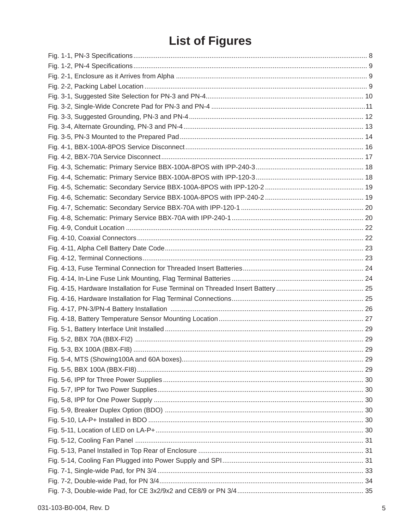## **List of Figures**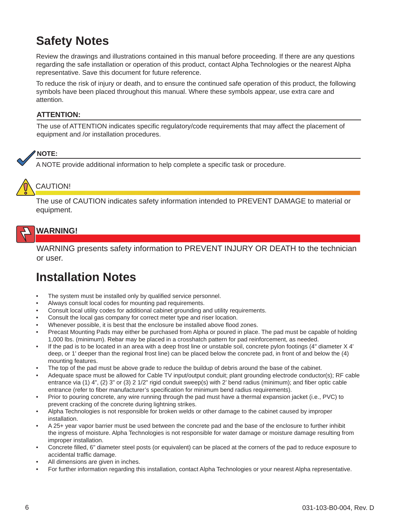## **Safety Notes**

Review the drawings and illustrations contained in this manual before proceeding. If there are any questions regarding the safe installation or operation of this product, contact Alpha Technologies or the nearest Alpha representative. Save this document for future reference.

To reduce the risk of injury or death, and to ensure the continued safe operation of this product, the following symbols have been placed throughout this manual. Where these symbols appear, use extra care and attention.

#### **ATTENTION:**

The use of ATTENTION indicates specific regulatory/code requirements that may affect the placement of equipment and /or installation procedures.

#### **NOTE:**

A NOTE provide additional information to help complete a specific task or procedure.

## CAUTION!

The use of CAUTION indicates safety information intended to PREVENT DAMAGE to material or equipment.

### **WARNING!**

WARNING presents safety information to PREVENT INJURY OR DEATH to the technician or user.

## **Installation Notes**

- The system must be installed only by qualified service personnel.
- Always consult local codes for mounting pad requirements.
- Consult local utility codes for additional cabinet grounding and utility requirements.
- Consult the local gas company for correct meter type and riser location.
- Whenever possible, it is best that the enclosure be installed above flood zones.
- Precast Mounting Pads may either be purchased from Alpha or poured in place. The pad must be capable of holding 1,000 lbs. (minimum). Rebar may be placed in a crosshatch pattern for pad reinforcement, as needed.
- If the pad is to be located in an area with a deep frost line or unstable soil, concrete pylon footings (4" diameter X 4' deep, or 1' deeper than the regional frost line) can be placed below the concrete pad, in front of and below the (4) mounting features.
- The top of the pad must be above grade to reduce the buildup of debris around the base of the cabinet.
- Adequate space must be allowed for Cable TV input/output conduit; plant grounding electrode conductor(s); RF cable entrance via (1)  $4$ ", (2)  $3$ " or (3)  $2 \frac{1}{2}$ " rigid conduit sweep(s) with  $2'$  bend radius (minimum); and fiber optic cable entrance (refer to fiber manufacturer's specification for minimum bend radius requirements).
- Prior to pouring concrete, any wire running through the pad must have a thermal expansion jacket (i.e., PVC) to prevent cracking of the concrete during lightning strikes.
- Alpha Technologies is not responsible for broken welds or other damage to the cabinet caused by improper installation.
- A 25+ year vapor barrier must be used between the concrete pad and the base of the enclosure to further inhibit the ingress of moisture. Alpha Technologies is not responsible for water damage or moisture damage resulting from improper installation.
- Concrete filled, 6" diameter steel posts (or equivalent) can be placed at the corners of the pad to reduce exposure to accidental traffic damage.
- All dimensions are given in inches.
- For further information regarding this installation, contact Alpha Technologies or your nearest Alpha representative.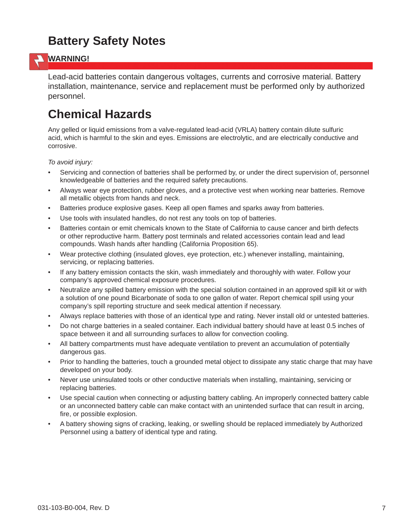## **Battery Safety Notes**



### **WARNING!**

Lead-acid batteries contain dangerous voltages, currents and corrosive material. Battery installation, maintenance, service and replacement must be performed only by authorized personnel.

## **Chemical Hazards**

Any gelled or liquid emissions from a valve-regulated lead-acid (VRLA) battery contain dilute sulfuric acid, which is harmful to the skin and eyes. Emissions are electrolytic, and are electrically conductive and corrosive.

*To avoid injury:*

- Servicing and connection of batteries shall be performed by, or under the direct supervision of, personnel knowledgeable of batteries and the required safety precautions.
- Always wear eye protection, rubber gloves, and a protective vest when working near batteries. Remove all metallic objects from hands and neck.
- Batteries produce explosive gases. Keep all open flames and sparks away from batteries.
- Use tools with insulated handles, do not rest any tools on top of batteries.
- Batteries contain or emit chemicals known to the State of California to cause cancer and birth defects or other reproductive harm. Battery post terminals and related accessories contain lead and lead compounds. Wash hands after handling (California Proposition 65).
- Wear protective clothing (insulated gloves, eye protection, etc.) whenever installing, maintaining, servicing, or replacing batteries.
- If any battery emission contacts the skin, wash immediately and thoroughly with water. Follow your company's approved chemical exposure procedures.
- Neutralize any spilled battery emission with the special solution contained in an approved spill kit or with a solution of one pound Bicarbonate of soda to one gallon of water. Report chemical spill using your company's spill reporting structure and seek medical attention if necessary.
- Always replace batteries with those of an identical type and rating. Never install old or untested batteries.
- Do not charge batteries in a sealed container. Each individual battery should have at least 0.5 inches of space between it and all surrounding surfaces to allow for convection cooling.
- All battery compartments must have adequate ventilation to prevent an accumulation of potentially dangerous gas.
- Prior to handling the batteries, touch a grounded metal object to dissipate any static charge that may have developed on your body.
- Never use uninsulated tools or other conductive materials when installing, maintaining, servicing or replacing batteries.
- Use special caution when connecting or adjusting battery cabling. An improperly connected battery cable or an unconnected battery cable can make contact with an unintended surface that can result in arcing, fire, or possible explosion.
- A battery showing signs of cracking, leaking, or swelling should be replaced immediately by Authorized Personnel using a battery of identical type and rating.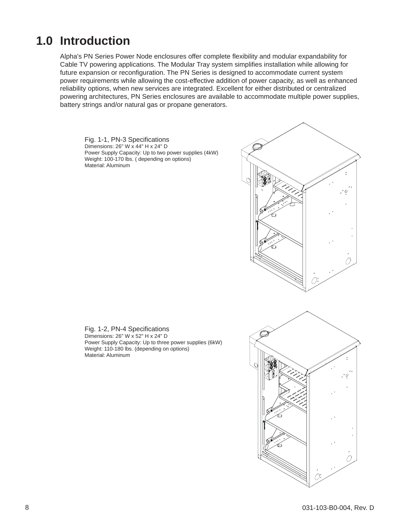## **1.0 Introduction**

Alpha's PN Series Power Node enclosures offer complete flexibility and modular expandability for Cable TV powering applications. The Modular Tray system simplifies installation while allowing for future expansion or reconfiguration. The PN Series is designed to accommodate current system power requirements while allowing the cost-effective addition of power capacity, as well as enhanced reliability options, when new services are integrated. Excellent for either distributed or centralized powering architectures, PN Series enclosures are available to accommodate multiple power supplies, battery strings and/or natural gas or propane generators.

Fig. 1-1, PN-3 Specifications Dimensions: 26" W x 44" H x 24" D Power Supply Capacity: Up to two power supplies (4kW) Weight: 100-170 lbs. ( depending on options) Material: Aluminum



Fig. 1-2, PN-4 Specifications Dimensions: 26" W x 52" H x 24" D Power Supply Capacity: Up to three power supplies (6kW) Weight: 110-180 lbs. (depending on options) Material: Aluminum

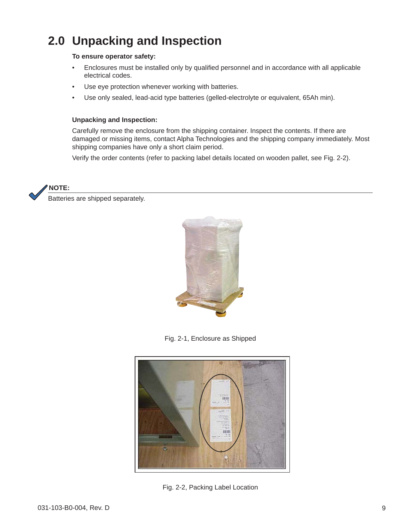## **2.0 Unpacking and Inspection**

#### **To ensure operator safety:**

- Enclosures must be installed only by qualified personnel and in accordance with all applicable electrical codes.
- Use eye protection whenever working with batteries.
- Use only sealed, lead-acid type batteries (gelled-electrolyte or equivalent, 65Ah min).

#### **Unpacking and Inspection:**

Carefully remove the enclosure from the shipping container. Inspect the contents. If there are damaged or missing items, contact Alpha Technologies and the shipping company immediately. Most shipping companies have only a short claim period.

Verify the order contents (refer to packing label details located on wooden pallet, see Fig. 2-2).



Batteries are shipped separately.



Fig. 2-1, Enclosure as Shipped



Fig. 2-2, Packing Label Location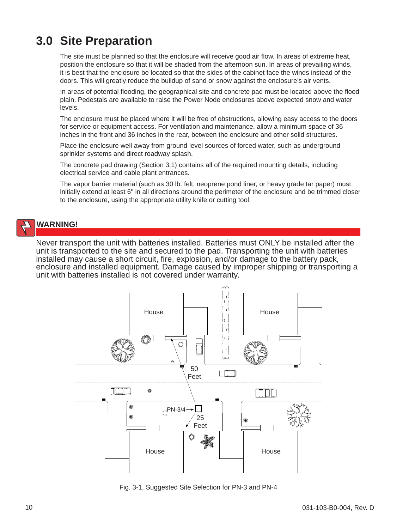## **3.0 Site Preparation**

The site must be planned so that the enclosure will receive good air flow. In areas of extreme heat, position the enclosure so that it will be shaded from the afternoon sun. In areas of prevailing winds, it is best that the enclosure be located so that the sides of the cabinet face the winds instead of the doors. This will greatly reduce the buildup of sand or snow against the enclosure's air vents.

In areas of potential flooding, the geographical site and concrete pad must be located above the flood plain. Pedestals are available to raise the Power Node enclosures above expected snow and water levels.

The enclosure must be placed where it will be free of obstructions, allowing easy access to the doors for service or equipment access. For ventilation and maintenance, allow a minimum space of 36 inches in the front and 36 inches in the rear, between the enclosure and other solid structures.

Place the enclosure well away from ground level sources of forced water, such as underground sprinkler systems and direct roadway splash.

The concrete pad drawing (Section 3.1) contains all of the required mounting details, including electrical service and cable plant entrances.

The vapor barrier material (such as 30 lb. felt, neoprene pond liner, or heavy grade tar paper) must initially extend at least 6" in all directions around the perimeter of the enclosure and be trimmed closer to the enclosure, using the appropriate utility knife or cutting tool.

## **WARNING!**

Never transport the unit with batteries installed. Batteries must ONLY be installed after the unit is transported to the site and secured to the pad. Transporting the unit with batteries installed may cause a short circuit, fire, explosion, and/or damage to the battery pack, enclosure and installed equipment. Damage caused by improper shipping or transporting a unit with batteries installed is not covered under warranty.



Fig. 3-1, Suggested Site Selection for PN-3 and PN-4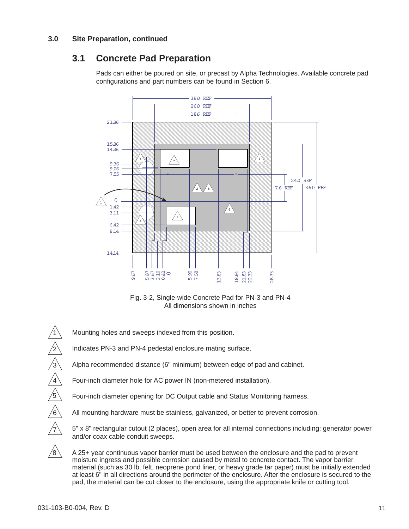#### **3.0 Site Preparation, continued**

## **3.1 Concrete Pad Preparation**

Pads can either be poured on site, or precast by Alpha Technologies. Available concrete pad configurations and part numbers can be found in Section 6.



Fig. 3-2, Single-wide Concrete Pad for PN-3 and PN-4 All dimensions shown in inches

Mounting holes and sweeps indexed from this position.

Indicates PN-3 and PN-4 pedestal enclosure mating surface.

Alpha recommended distance (6" minimum) between edge of pad and cabinet.

Four-inch diameter hole for AC power IN (non-metered installation).

Four-inch diameter opening for DC Output cable and Status Monitoring harness.

All mounting hardware must be stainless, galvanized, or better to prevent corrosion.

 5" x 8" rectangular cutout (2 places), open area for all internal connections including: generator power and/or coax cable conduit sweeps.

 A 25+ year continuous vapor barrier must be used between the enclosure and the pad to prevent moisture ingress and possible corrosion caused by metal to concrete contact. The vapor barrier material (such as 30 lb. felt, neoprene pond liner, or heavy grade tar paper) must be initially extended at least 6" in all directions around the perimeter of the enclosure. After the enclosure is secured to the pad, the material can be cut closer to the enclosure, using the appropriate knife or cutting tool.

1

2

3

4

5

6

7

 $\sqrt{8}$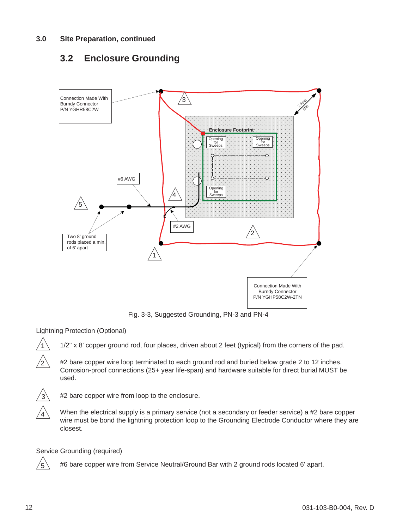## **3.2 Enclosure Grounding**



Fig. 3-3, Suggested Grounding, PN-3 and PN-4

Lightning Protection (Optional)

1/2" x 8' copper ground rod, four places, driven about 2 feet (typical) from the corners of the pad.

 $\sqrt{2}$  #2 bare copper wire loop terminated to each ground rod and buried below grade 2 to 12 inches. Corrosion-proof connections (25+ year life-span) and hardware suitable for direct burial MUST be used.



#2 bare copper wire from loop to the enclosure.

When the electrical supply is a primary service (not a secondary or feeder service) a #2 bare copper wire must be bond the lightning protection loop to the Grounding Electrode Conductor where they are closest.

Service Grounding (required)

 $\sqrt{5}$  #6 bare copper wire from Service Neutral/Ground Bar with 2 ground rods located 6' apart.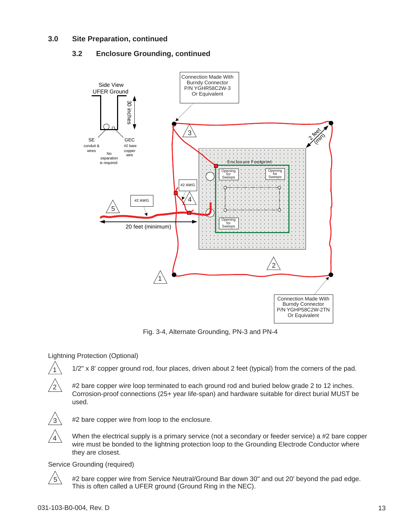#### **3.0 Site Preparation, continued**

#### **3.2 Enclosure Grounding, continued**



Fig. 3-4, Alternate Grounding, PN-3 and PN-4

#### Lightning Protection (Optional)

1/2" x 8' copper ground rod, four places, driven about 2 feet (typical) from the corners of the pad.



 $\sqrt{2}$  #2 bare copper wire loop terminated to each ground rod and buried below grade 2 to 12 inches. Corrosion-proof connections (25+ year life-span) and hardware suitable for direct burial MUST be used.



#2 bare copper wire from loop to the enclosure.

 $\sqrt{4} \backslash$  When the electrical supply is a primary service (not a secondary or feeder service) a #2 bare copper wire must be bonded to the lightning protection loop to the Grounding Electrode Conductor where they are closest.

#### Service Grounding (required)



 $\sqrt{5}$  #2 bare copper wire from Service Neutral/Ground Bar down 30" and out 20' beyond the pad edge. This is often called a UFER ground (Ground Ring in the NEC).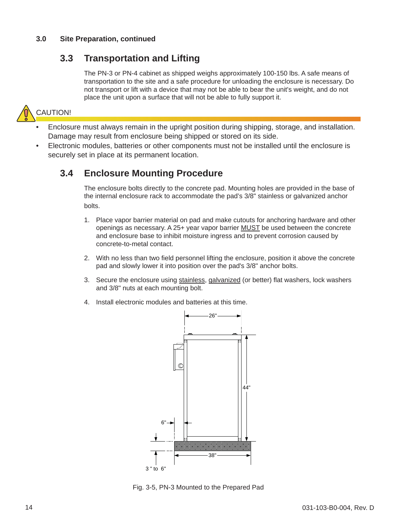#### **3.0 Site Preparation, continued**

### **3.3 Transportation and Lifting**

The PN-3 or PN-4 cabinet as shipped weighs approximately 100-150 lbs. A safe means of transportation to the site and a safe procedure for unloading the enclosure is necessary. Do not transport or lift with a device that may not be able to bear the unit's weight, and do not place the unit upon a surface that will not be able to fully support it.



- Enclosure must always remain in the upright position during shipping, storage, and installation. Damage may result from enclosure being shipped or stored on its side.
- Electronic modules, batteries or other components must not be installed until the enclosure is securely set in place at its permanent location.

### **3.4 Enclosure Mounting Procedure**

The enclosure bolts directly to the concrete pad. Mounting holes are provided in the base of the internal enclosure rack to accommodate the pad's 3/8" stainless or galvanized anchor bolts.

- 1. Place vapor barrier material on pad and make cutouts for anchoring hardware and other openings as necessary. A 25+ year vapor barrier MUST be used between the concrete and enclosure base to inhibit moisture ingress and to prevent corrosion caused by concrete-to-metal contact.
- 2. With no less than two field personnel lifting the enclosure, position it above the concrete pad and slowly lower it into position over the pad's 3/8" anchor bolts.
- 3. Secure the enclosure using stainless, galvanized (or better) flat washers, lock washers and 3/8" nuts at each mounting bolt.
- 4. Install electronic modules and batteries at this time.



Fig. 3-5, PN-3 Mounted to the Prepared Pad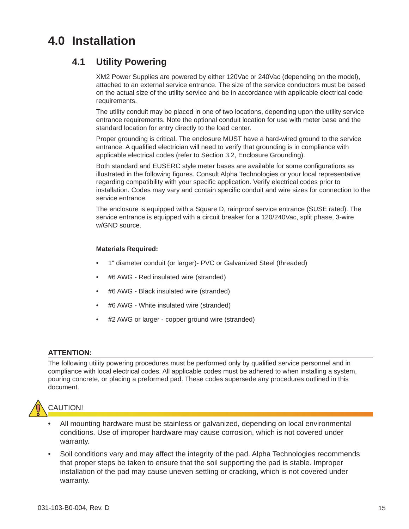## **4.0 Installation**

### **4.1 Utility Powering**

XM2 Power Supplies are powered by either 120Vac or 240Vac (depending on the model), attached to an external service entrance. The size of the service conductors must be based on the actual size of the utility service and be in accordance with applicable electrical code requirements.

The utility conduit may be placed in one of two locations, depending upon the utility service entrance requirements. Note the optional conduit location for use with meter base and the standard location for entry directly to the load center.

Proper grounding is critical. The enclosure MUST have a hard-wired ground to the service entrance. A qualified electrician will need to verify that grounding is in compliance with applicable electrical codes (refer to Section 3.2, Enclosure Grounding).

Both standard and EUSERC style meter bases are available for some configurations as illustrated in the following figures. Consult Alpha Technologies or your local representative regarding compatibility with your specific application. Verify electrical codes prior to installation. Codes may vary and contain specific conduit and wire sizes for connection to the service entrance.

The enclosure is equipped with a Square D, rainproof service entrance (SUSE rated). The service entrance is equipped with a circuit breaker for a 120/240Vac, split phase, 3-wire w/GND source.

#### **Materials Required:**

- 1" diameter conduit (or larger)- PVC or Galvanized Steel (threaded)
- #6 AWG Red insulated wire (stranded)
- #6 AWG Black insulated wire (stranded)
- #6 AWG White insulated wire (stranded)
- #2 AWG or larger copper ground wire (stranded)

#### **ATTENTION:**

The following utility powering procedures must be performed only by qualified service personnel and in compliance with local electrical codes. All applicable codes must be adhered to when installing a system, pouring concrete, or placing a preformed pad. These codes supersede any procedures outlined in this document.



- All mounting hardware must be stainless or galvanized, depending on local environmental conditions. Use of improper hardware may cause corrosion, which is not covered under warranty.
- Soil conditions vary and may affect the integrity of the pad. Alpha Technologies recommends that proper steps be taken to ensure that the soil supporting the pad is stable. Improper installation of the pad may cause uneven settling or cracking, which is not covered under warranty.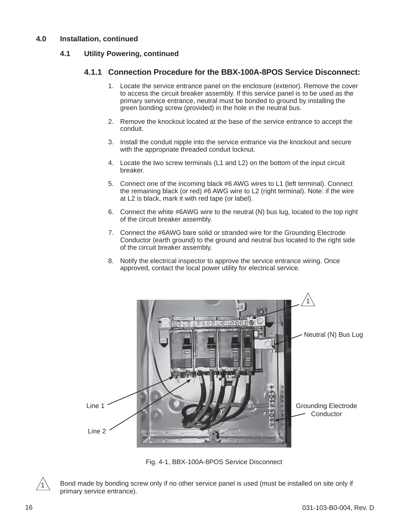#### **4.1 Utility Powering, continued**

#### **4.1.1 Connection Procedure for the BBX-100A-8POS Service Disconnect:**

- 1. Locate the service entrance panel on the enclosure (exterior). Remove the cover to access the circuit breaker assembly. If this service panel is to be used as the primary service entrance, neutral must be bonded to ground by installing the green bonding screw (provided) in the hole in the neutral bus.
- 2. Remove the knockout located at the base of the service entrance to accept the conduit.
- 3. Install the conduit nipple into the service entrance via the knockout and secure with the appropriate threaded conduit locknut.
- 4. Locate the two screw terminals (L1 and L2) on the bottom of the input circuit breaker.
- 5. Connect one of the incoming black #6 AWG wires to L1 (left terminal). Connect the remaining black (or red) #6 AWG wire to L2 (right terminal). Note: if the wire at L2 is black, mark it with red tape (or label).
- 6. Connect the white #6AWG wire to the neutral (N) bus lug, located to the top right of the circuit breaker assembly.
- 7. Connect the #6AWG bare solid or stranded wire for the Grounding Electrode Conductor (earth ground) to the ground and neutral bus located to the right side of the circuit breaker assembly.
- 8. Notify the electrical inspector to approve the service entrance wiring. Once approved, contact the local power utility for electrical service.



Fig. 4-1, BBX-100A-8POS Service Disconnect



Bond made by bonding screw only if no other service panel is used (must be installed on site only if primary service entrance).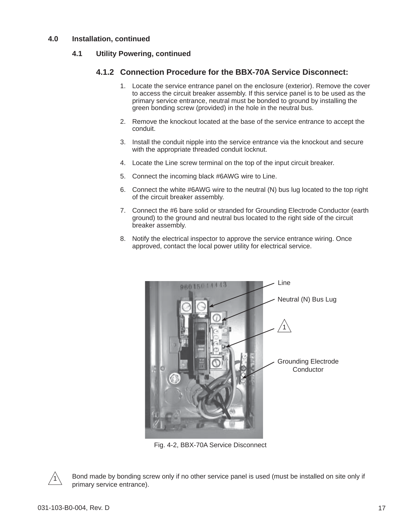#### **4.1 Utility Powering, continued**

#### **4.1.2 Connection Procedure for the BBX-70A Service Disconnect:**

- 1. Locate the service entrance panel on the enclosure (exterior). Remove the cover to access the circuit breaker assembly. If this service panel is to be used as the primary service entrance, neutral must be bonded to ground by installing the green bonding screw (provided) in the hole in the neutral bus.
- 2. Remove the knockout located at the base of the service entrance to accept the conduit.
- 3. Install the conduit nipple into the service entrance via the knockout and secure with the appropriate threaded conduit locknut.
- 4. Locate the Line screw terminal on the top of the input circuit breaker.
- 5. Connect the incoming black #6AWG wire to Line.
- 6. Connect the white #6AWG wire to the neutral (N) bus lug located to the top right of the circuit breaker assembly.
- 7. Connect the #6 bare solid or stranded for Grounding Electrode Conductor (earth ground) to the ground and neutral bus located to the right side of the circuit breaker assembly.
- 8. Notify the electrical inspector to approve the service entrance wiring. Once approved, contact the local power utility for electrical service.



Fig. 4-2, BBX-70A Service Disconnect



Bond made by bonding screw only if no other service panel is used (must be installed on site only if primary service entrance).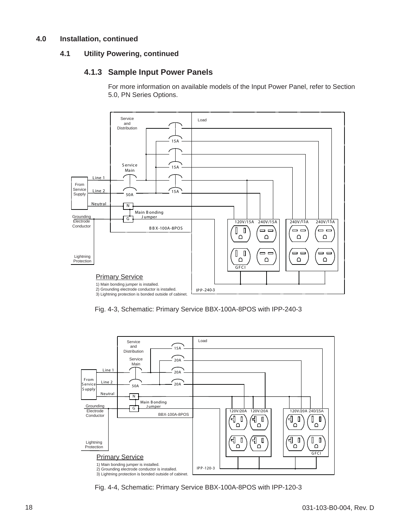#### **4.1 Utility Powering, continued**

#### **4.1.3 Sample Input Power Panels**

For more information on available models of the Input Power Panel, refer to Section 5.0, PN Series Options.



Fig. 4-3, Schematic: Primary Service BBX-100A-8POS with IPP-240-3



Fig. 4-4, Schematic: Primary Service BBX-100A-8POS with IPP-120-3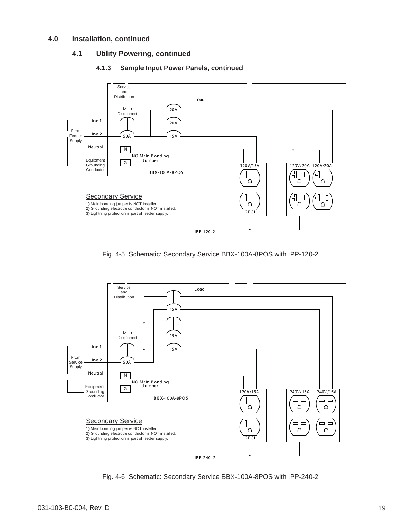#### **4.1 Utility Powering, continued**



#### **4.1.3 Sample Input Power Panels, continued**

Fig. 4-5, Schematic: Secondary Service BBX-100A-8POS with IPP-120-2



Fig. 4-6, Schematic: Secondary Service BBX-100A-8POS with IPP-240-2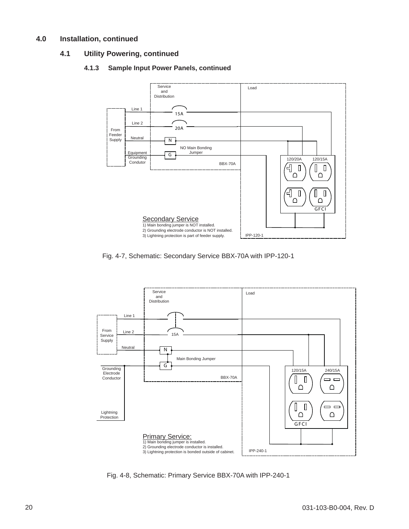#### **4.1 Utility Powering, continued**

#### **4.1.3 Sample Input Power Panels, continued**



Fig. 4-7, Schematic: Secondary Service BBX-70A with IPP-120-1



Fig. 4-8, Schematic: Primary Service BBX-70A with IPP-240-1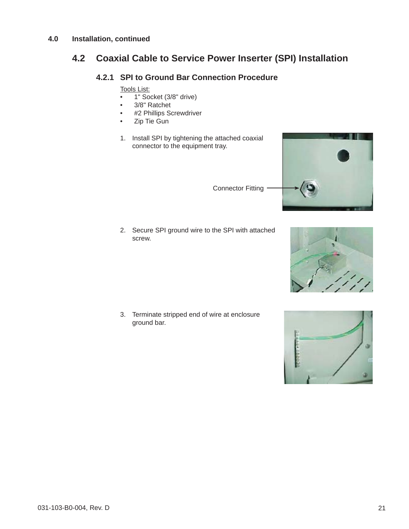### **4.2 Coaxial Cable to Service Power Inserter (SPI) Installation**

#### **4.2.1 SPI to Ground Bar Connection Procedure**

Tools List:

- 1" Socket (3/8" drive)
- 3/8" Ratchet
- #2 Phillips Screwdriver
- Zip Tie Gun
- 1. Install SPI by tightening the attached coaxial connector to the equipment tray.

Connector Fitting

2. Secure SPI ground wire to the SPI with attached screw.

3. Terminate stripped end of wire at enclosure ground bar.



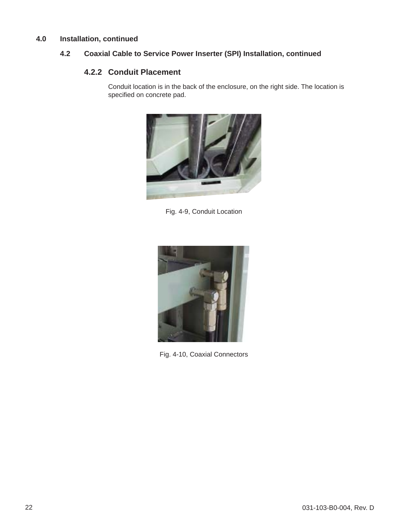#### **4.2 Coaxial Cable to Service Power Inserter (SPI) Installation, continued**

#### **4.2.2 Conduit Placement**

Conduit location is in the back of the enclosure, on the right side. The location is specified on concrete pad.



Fig. 4-9, Conduit Location



Fig. 4-10, Coaxial Connectors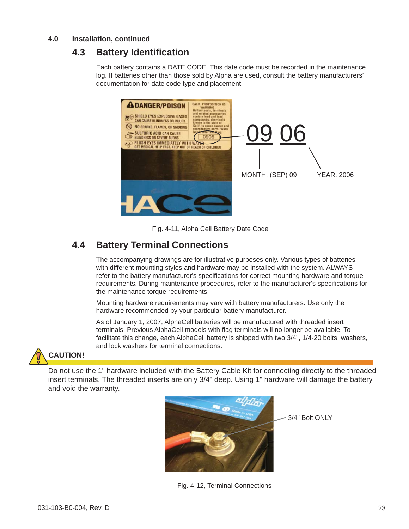### **4.3 Battery Identifi cation**

Each battery contains a DATE CODE. This date code must be recorded in the maintenance log. If batteries other than those sold by Alpha are used, consult the battery manufacturers' documentation for date code type and placement.



Fig. 4-11, Alpha Cell Battery Date Code

### **4.4 Battery Terminal Connections**

The accompanying drawings are for illustrative purposes only. Various types of batteries with different mounting styles and hardware may be installed with the system. ALWAYS refer to the battery manufacturer's specifications for correct mounting hardware and torque requirements. During maintenance procedures, refer to the manufacturer's specifications for the maintenance torque requirements.

Mounting hardware requirements may vary with battery manufacturers. Use only the hardware recommended by your particular battery manufacturer.

As of January 1, 2007, AlphaCell batteries will be manufactured with threaded insert terminals. Previous AlphaCell models with flag terminals will no longer be available. To facilitate this change, each AlphaCell battery is shipped with two 3/4", 1/4-20 bolts, washers, and lock washers for terminal connections.

# **CAUTION!**

Do not use the 1" hardware included with the Battery Cable Kit for connecting directly to the threaded insert terminals. The threaded inserts are only 3/4" deep. Using 1" hardware will damage the battery and void the warranty.



Fig. 4-12, Terminal Connections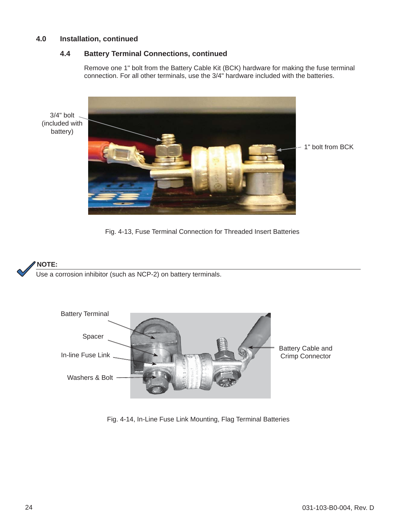battery)

#### **4.4 Battery Terminal Connections, continued**

Remove one 1" bolt from the Battery Cable Kit (BCK) hardware for making the fuse terminal connection. For all other terminals, use the 3/4" hardware included with the batteries.



Fig. 4-13, Fuse Terminal Connection for Threaded Insert Batteries

#### **NOTE:**

Use a corrosion inhibitor (such as NCP-2) on battery terminals.



Fig. 4-14, In-Line Fuse Link Mounting, Flag Terminal Batteries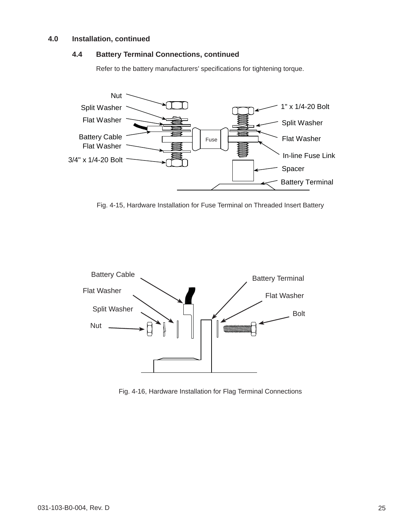#### **4.4 Battery Terminal Connections, continued**

Refer to the battery manufacturers' specifications for tightening torque.



Fig. 4-15, Hardware Installation for Fuse Terminal on Threaded Insert Battery



Fig. 4-16, Hardware Installation for Flag Terminal Connections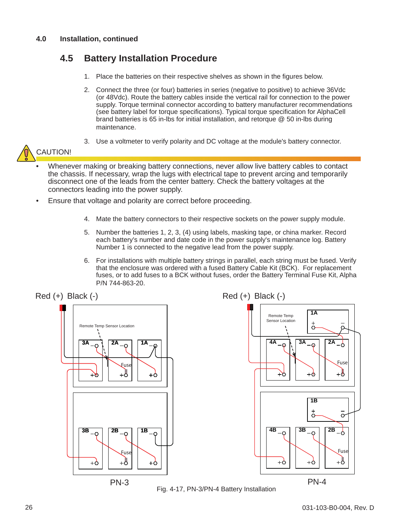## **4.5 Battery Installation Procedure**

- 1. Place the batteries on their respective shelves as shown in the figures below.
- 2. Connect the three (or four) batteries in series (negative to positive) to achieve 36Vdc (or 48Vdc). Route the battery cables inside the vertical rail for connection to the power supply. Torque terminal connector according to battery manufacturer recommendations (see battery label for torque specifications). Typical torque specification for AlphaCell brand batteries is 65 in-lbs for initial installation, and retorque @ 50 in-lbs during maintenance.
- 3. Use a voltmeter to verify polarity and DC voltage at the module's battery connector.



- Whenever making or breaking battery connections, never allow live battery cables to contact the chassis. If necessary, wrap the lugs with electrical tape to prevent arcing and temporarily disconnect one of the leads from the center battery. Check the battery voltages at the connectors leading into the power supply.
- Ensure that voltage and polarity are correct before proceeding.
	- 4. Mate the battery connectors to their respective sockets on the power supply module.
	- 5. Number the batteries 1, 2, 3, (4) using labels, masking tape, or china marker. Record each battery's number and date code in the power supply's maintenance log. Battery Number 1 is connected to the negative lead from the power supply.
	- 6. For installations with multiple battery strings in parallel, each string must be fused. Verify that the enclosure was ordered with a fused Battery Cable Kit (BCK). For replacement fuses, or to add fuses to a BCK without fuses, order the Battery Terminal Fuse Kit, Alpha P/N 744-863-20.



Fig. 4-17, PN-3/PN-4 Battery Installation



**1A**

Remote Temp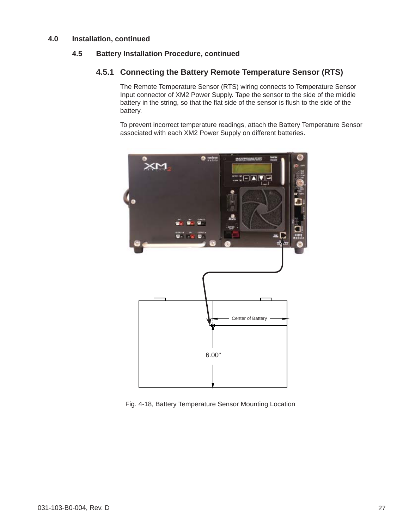#### **4.5 Battery Installation Procedure, continued**

#### **4.5.1 Connecting the Battery Remote Temperature Sensor (RTS)**

The Remote Temperature Sensor (RTS) wiring connects to Temperature Sensor Input connector of XM2 Power Supply. Tape the sensor to the side of the middle battery in the string, so that the flat side of the sensor is flush to the side of the battery.

To prevent incorrect temperature readings, attach the Battery Temperature Sensor associated with each XM2 Power Supply on different batteries.



Fig. 4-18, Battery Temperature Sensor Mounting Location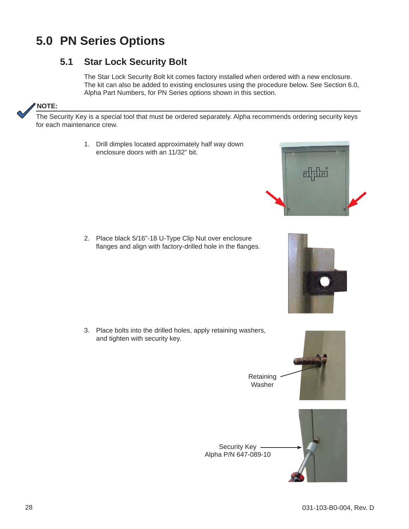## **5.0 PN Series Options**

## **5.1 Star Lock Security Bolt**

The Star Lock Security Bolt kit comes factory installed when ordered with a new enclosure. The kit can also be added to existing enclosures using the procedure below. See Section 6.0, Alpha Part Numbers, for PN Series options shown in this section.

#### **NOTE:**

The Security Key is a special tool that must be ordered separately. Alpha recommends ordering security keys for each maintenance crew.

> 1. Drill dimples located approximately half way down enclosure doors with an 11/32" bit.

2. Place black 5/16"-18 U-Type Clip Nut over enclosure flanges and align with factory-drilled hole in the flanges.

3. Place bolts into the drilled holes, apply retaining washers, and tighten with security key.





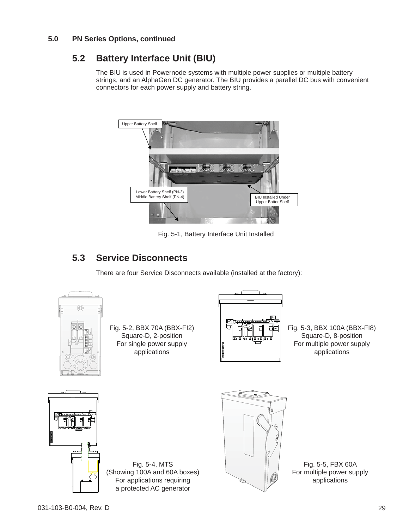#### **5.0 PN Series Options, continued**

## **5.2 Battery Interface Unit (BIU)**

The BIU is used in Powernode systems with multiple power supplies or multiple battery strings, and an AlphaGen DC generator. The BIU provides a parallel DC bus with convenient connectors for each power supply and battery string.



Fig. 5-1, Battery Interface Unit Installed

## **5.3 Service Disconnects**

There are four Service Disconnects available (installed at the factory):



Fig. 5-2, BBX 70A (BBX-FI2) Square-D, 2-position For single power supply applications



Fig. 5-3, BBX 100A (BBX-FI8) Square-D, 8-position For multiple power supply applications



Fig. 5-4, MTS (Showing 100A and 60A boxes) For applications requiring a protected AC generator



Fig. 5-5, FBX 60A For multiple power supply applications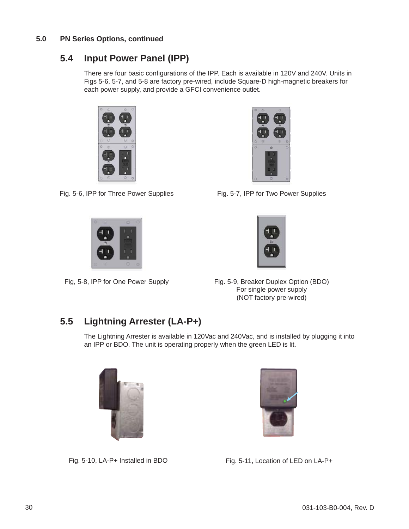#### **5.0 PN Series Options, continued**

## **5.4 Input Power Panel (IPP)**

There are four basic configurations of the IPP. Each is available in 120V and 240V. Units in Figs 5-6, 5-7, and 5-8 are factory pre-wired, include Square-D high-magnetic breakers for each power supply, and provide a GFCI convenience outlet.





Fig. 5-6, IPP for Three Power Supplies Fig. 5-7, IPP for Two Power Supplies





Fig, 5-8, IPP for One Power Supply Fig. 5-9, Breaker Duplex Option (BDO) For single power supply (NOT factory pre-wired)

## **5.5 Lightning Arrester (LA-P+)**

The Lightning Arrester is available in 120Vac and 240Vac, and is installed by plugging it into an IPP or BDO. The unit is operating properly when the green LED is lit.





Fig. 5-10, LA-P+ Installed in BDO Fig. 5-11, Location of LED on LA-P+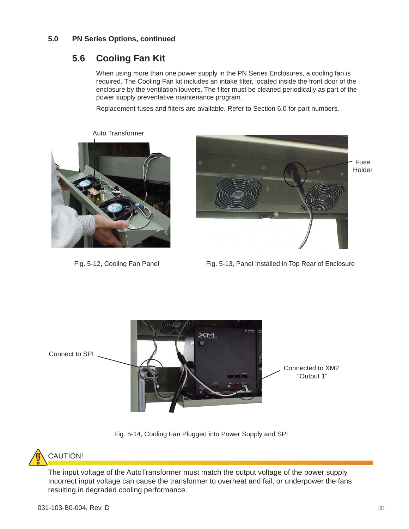#### **5.0 PN Series Options, continued**

### **5.6 Cooling Fan Kit**

Auto Transformer

When using more than one power supply in the PN Series Enclosures, a cooling fan is required. The Cooling Fan kit includes an intake filter, located inside the front door of the enclosure by the ventilation louvers. The filter must be cleaned periodically as part of the power supply preventative maintenance program.

Replacement fuses and filters are available. Refer to Section 6.0 for part numbers.





Fig. 5-12, Cooling Fan Panel Fig. 5-13, Panel Installed in Top Rear of Enclosure



Fig. 5-14, Cooling Fan Plugged into Power Supply and SPI



The input voltage of the AutoTransformer must match the output voltage of the power supply. Incorrect input voltage can cause the transformer to overheat and fail, or underpower the fans resulting in degraded cooling performance.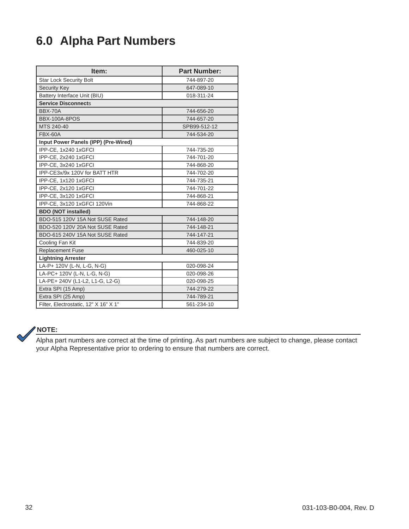## **6.0 Alpha Part Numbers**

| Item:                                 | <b>Part Number:</b> |  |  |  |  |
|---------------------------------------|---------------------|--|--|--|--|
| <b>Star Lock Security Bolt</b>        | 744-897-20          |  |  |  |  |
| <b>Security Key</b>                   | 647-089-10          |  |  |  |  |
| Battery Interface Unit (BIU)          | 018-311-24          |  |  |  |  |
| <b>Service Disconnects</b>            |                     |  |  |  |  |
| BBX-70A                               | 744-656-20          |  |  |  |  |
| <b>BBX-100A-8POS</b>                  | 744-657-20          |  |  |  |  |
| MTS 240-40                            | SPB99-512-12        |  |  |  |  |
| <b>FBX-60A</b>                        | 744-534-20          |  |  |  |  |
| Input Power Panels (IPP) (Pre-Wired)  |                     |  |  |  |  |
| IPP-CE, 1x240 1xGFCI                  | 744-735-20          |  |  |  |  |
| IPP-CE, 2x240 1xGFCI                  | 744-701-20          |  |  |  |  |
| IPP-CE, 3x240 1xGFCI                  | 744-868-20          |  |  |  |  |
| IPP-CE3x/9x 120V for BATT HTR         | 744-702-20          |  |  |  |  |
| IPP-CE, 1x120 1xGFCI                  | 744-735-21          |  |  |  |  |
| IPP-CE, 2x120 1xGFCI                  | 744-701-22          |  |  |  |  |
| IPP-CE, 3x120 1xGFCI                  | 744-868-21          |  |  |  |  |
| IPP-CE, 3x120 1xGFCI 120Vin           | 744-868-22          |  |  |  |  |
| <b>BDO (NOT installed)</b>            |                     |  |  |  |  |
| BDO-515 120V 15A Not SUSE Rated       | 744-148-20          |  |  |  |  |
| BDO-520 120V 20A Not SUSE Rated       | 744-148-21          |  |  |  |  |
| BDO-615 240V 15A Not SUSE Rated       | 744-147-21          |  |  |  |  |
| Cooling Fan Kit                       | 744-839-20          |  |  |  |  |
| <b>Replacement Fuse</b>               | 460-025-10          |  |  |  |  |
| <b>Lightning Arrester</b>             |                     |  |  |  |  |
| LA-P+ 120V (L-N, L-G, N-G)            | 020-098-24          |  |  |  |  |
| LA-PC+ 120V (L-N, L-G, N-G)           | 020-098-26          |  |  |  |  |
| LA-PE+ 240V (L1-L2, L1-G, L2-G)       | 020-098-25          |  |  |  |  |
| Extra SPI (15 Amp)                    | 744-279-22          |  |  |  |  |
| Extra SPI (25 Amp)                    | 744-789-21          |  |  |  |  |
| Filter, Electrostatic, 12" X 16" X 1" | 561-234-10          |  |  |  |  |



Alpha part numbers are correct at the time of printing. As part numbers are subject to change, please contact your Alpha Representative prior to ordering to ensure that numbers are correct.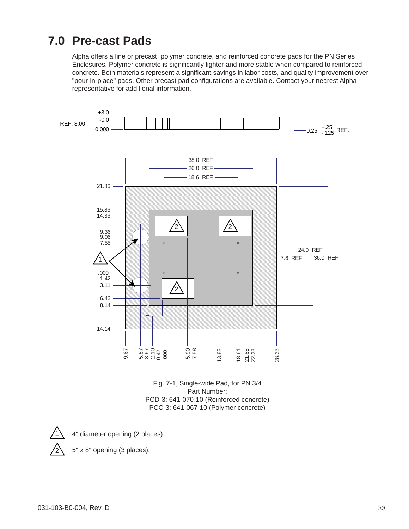## **7.0 Pre-cast Pads**

Alpha offers a line or precast, polymer concrete, and reinforced concrete pads for the PN Series Enclosures. Polymer concrete is significantly lighter and more stable when compared to reinforced concrete. Both materials represent a significant savings in labor costs, and quality improvement over "pour-in-place" pads. Other precast pad configurations are available. Contact your nearest Alpha representative for additional information.



Fig. 7-1, Single-wide Pad, for PN 3/4 Part Number: PCD-3: 641-070-10 (Reinforced concrete) PCC-3: 641-067-10 (Polymer concrete)



5" x 8" opening (3 places).

2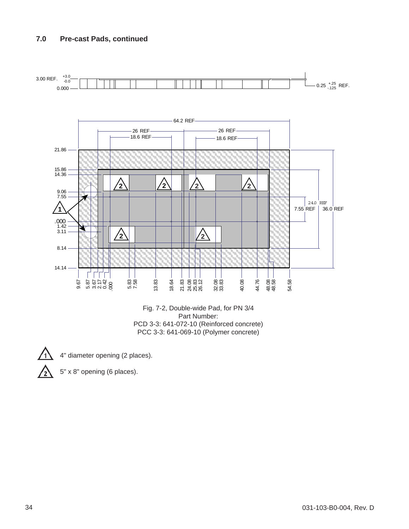

PCD 3-3: 641-072-10 (Reinforced concrete) PCC 3-3: 641-069-10 (Polymer concrete)

- 
- 4" diameter opening (2 places).
- 5" x 8" opening (6 places).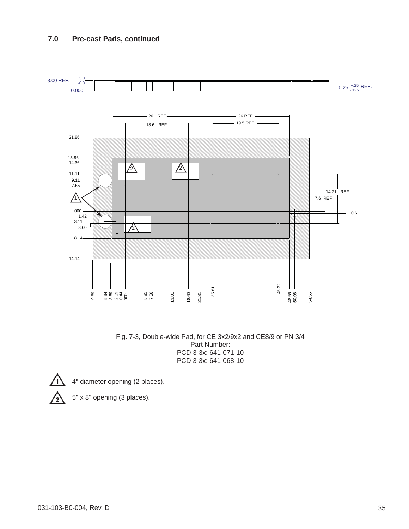

Fig. 7-3, Double-wide Pad, for CE 3x2/9x2 and CE8/9 or PN 3/4 Part Number: PCD 3-3x: 641-071-10 PCD 3-3x: 641-068-10



4" diameter opening (2 places).

5" x 8" opening (3 places).